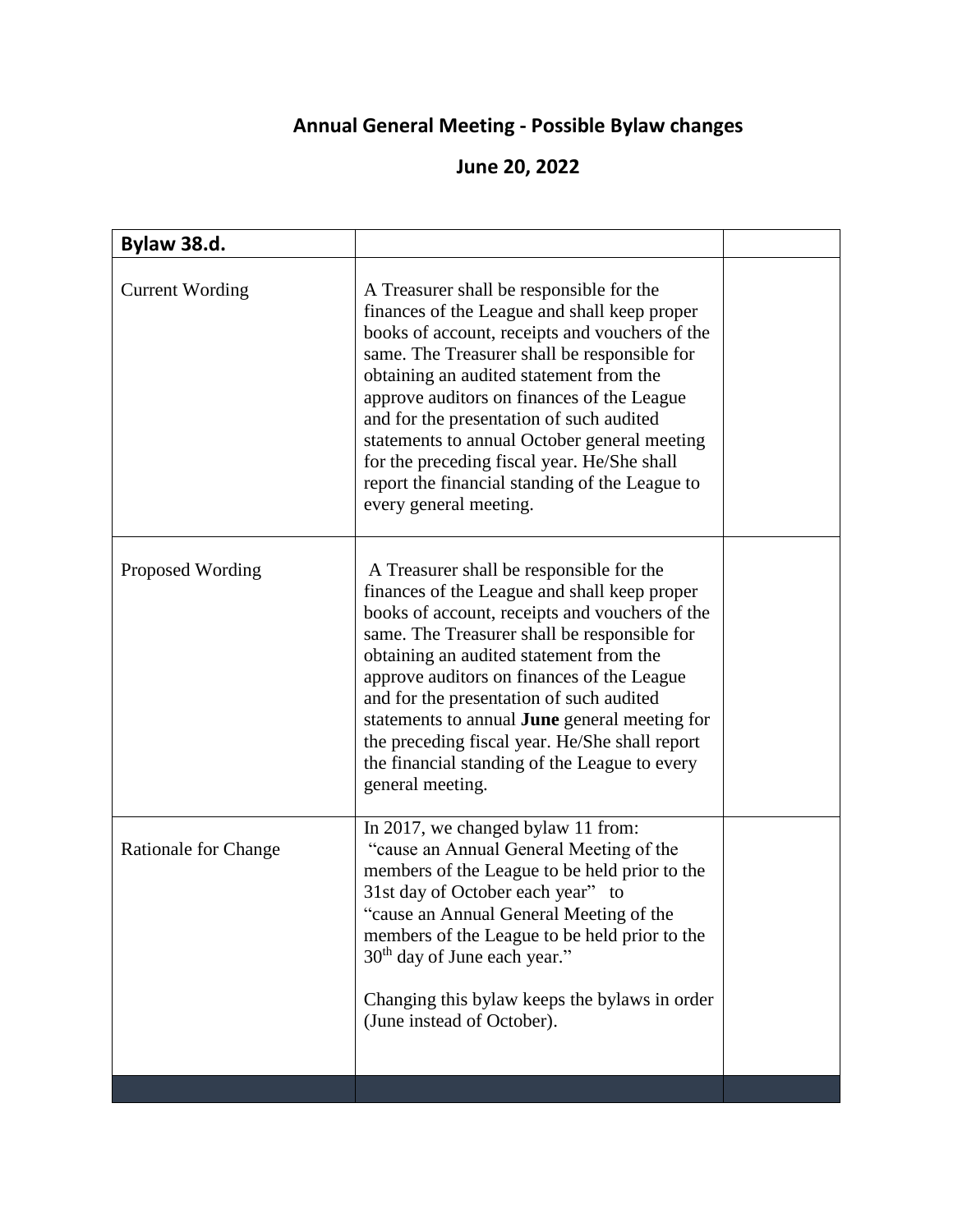## **Annual General Meeting - Possible Bylaw changes**

## **June 20, 2022**

| Bylaw 38.d.                 |                                                                                                                                                                                                                                                                                                                                                                                                                                                                                                            |  |
|-----------------------------|------------------------------------------------------------------------------------------------------------------------------------------------------------------------------------------------------------------------------------------------------------------------------------------------------------------------------------------------------------------------------------------------------------------------------------------------------------------------------------------------------------|--|
| <b>Current Wording</b>      | A Treasurer shall be responsible for the<br>finances of the League and shall keep proper<br>books of account, receipts and vouchers of the<br>same. The Treasurer shall be responsible for<br>obtaining an audited statement from the<br>approve auditors on finances of the League<br>and for the presentation of such audited<br>statements to annual October general meeting<br>for the preceding fiscal year. He/She shall<br>report the financial standing of the League to<br>every general meeting. |  |
| Proposed Wording            | A Treasurer shall be responsible for the<br>finances of the League and shall keep proper<br>books of account, receipts and vouchers of the<br>same. The Treasurer shall be responsible for<br>obtaining an audited statement from the<br>approve auditors on finances of the League<br>and for the presentation of such audited<br>statements to annual June general meeting for<br>the preceding fiscal year. He/She shall report<br>the financial standing of the League to every<br>general meeting.    |  |
| <b>Rationale for Change</b> | In 2017, we changed bylaw 11 from:<br>"cause an Annual General Meeting of the<br>members of the League to be held prior to the<br>31st day of October each year" to<br>"cause an Annual General Meeting of the<br>members of the League to be held prior to the<br>$30th$ day of June each year."<br>Changing this bylaw keeps the bylaws in order<br>(June instead of October).                                                                                                                           |  |